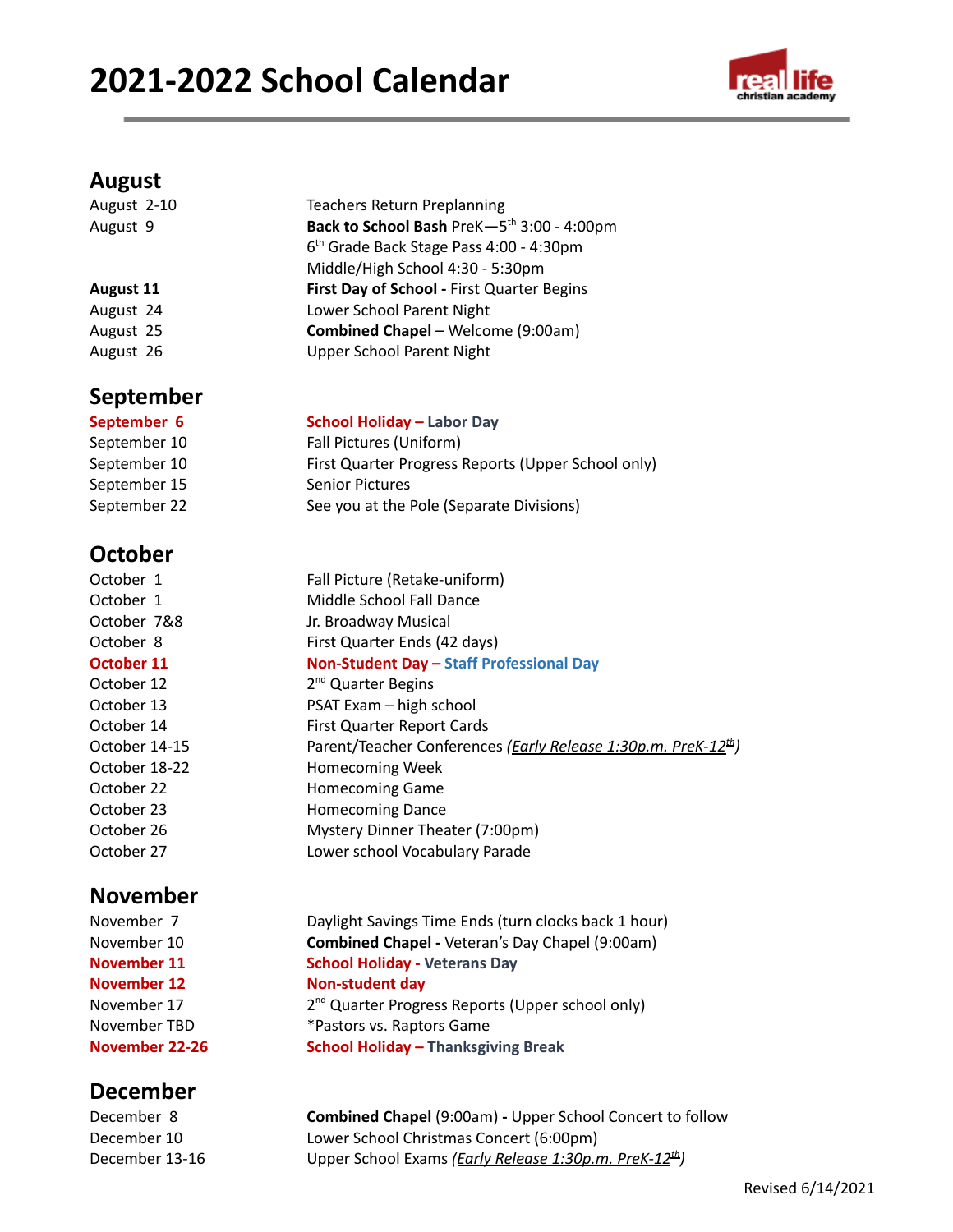# **2021-2022 School Calendar**



### **August**

| August 2-10      | <b>Teachers Return Preplanning</b>                     |  |
|------------------|--------------------------------------------------------|--|
| August 9         | Back to School Bash PreK-5 <sup>th</sup> 3:00 - 4:00pm |  |
|                  | 6 <sup>th</sup> Grade Back Stage Pass 4:00 - 4:30pm    |  |
|                  | Middle/High School 4:30 - 5:30pm                       |  |
| <b>August 11</b> | First Day of School - First Quarter Begins             |  |
| August 24        | Lower School Parent Night                              |  |
| August 25        | Combined Chapel - Welcome (9:00am)                     |  |
| August 26        | <b>Upper School Parent Night</b>                       |  |
| <b>September</b> |                                                        |  |
| Santamhar 6      | School Holiday - Lahor Day                             |  |

#### **September 6 School Holiday – Labor Day**

| $3$ CHOOL HOHGAY $-$ Labor Day                     |
|----------------------------------------------------|
| Fall Pictures (Uniform)                            |
| First Quarter Progress Reports (Upper School only) |
| <b>Senior Pictures</b>                             |
| See you at the Pole (Separate Divisions)           |
|                                                    |

## **October**

| October 1     | Fall Picture (Retake-uniform)                                                     |
|---------------|-----------------------------------------------------------------------------------|
| October 1     | Middle School Fall Dance                                                          |
| October 7&8   | Jr. Broadway Musical                                                              |
| October 8     | First Quarter Ends (42 days)                                                      |
| October 11    | Non-Student Day - Staff Professional Day                                          |
| October 12    | 2 <sup>nd</sup> Quarter Begins                                                    |
| October 13    | PSAT Exam - high school                                                           |
| October 14    | First Quarter Report Cards                                                        |
| October 14-15 | Parent/Teacher Conferences ( <i>Early Release 1:30p.m. PreK-12<sup>th</sup></i> ) |
| October 18-22 | <b>Homecoming Week</b>                                                            |
| October 22    | <b>Homecoming Game</b>                                                            |
| October 23    | <b>Homecoming Dance</b>                                                           |
| October 26    | Mystery Dinner Theater (7:00pm)                                                   |
| October 27    | Lower school Vocabulary Parade                                                    |
|               |                                                                                   |

## **November**

November 17

## **December**

November 7 Daylight Savings Time Ends (turn clocks back 1 hour) November 10 **Combined Chapel -** Veteran's Day Chapel (9:00am) **November 11 School Holiday - Veterans Day November 12 Non-student day** 2<sup>nd</sup> Quarter Progress Reports (Upper school only) November TBD \*Pastors vs. Raptors Game **November 22-26 School Holiday – Thanksgiving Break**

December 8 **Combined Chapel** (9:00am) **-** Upper School Concert to follow December 10 Lower School Christmas Concert (6:00pm) December 13-16 **Upper School Exams** *(Early Release 1:30p.m. PreK-12<sup>th</sup>)*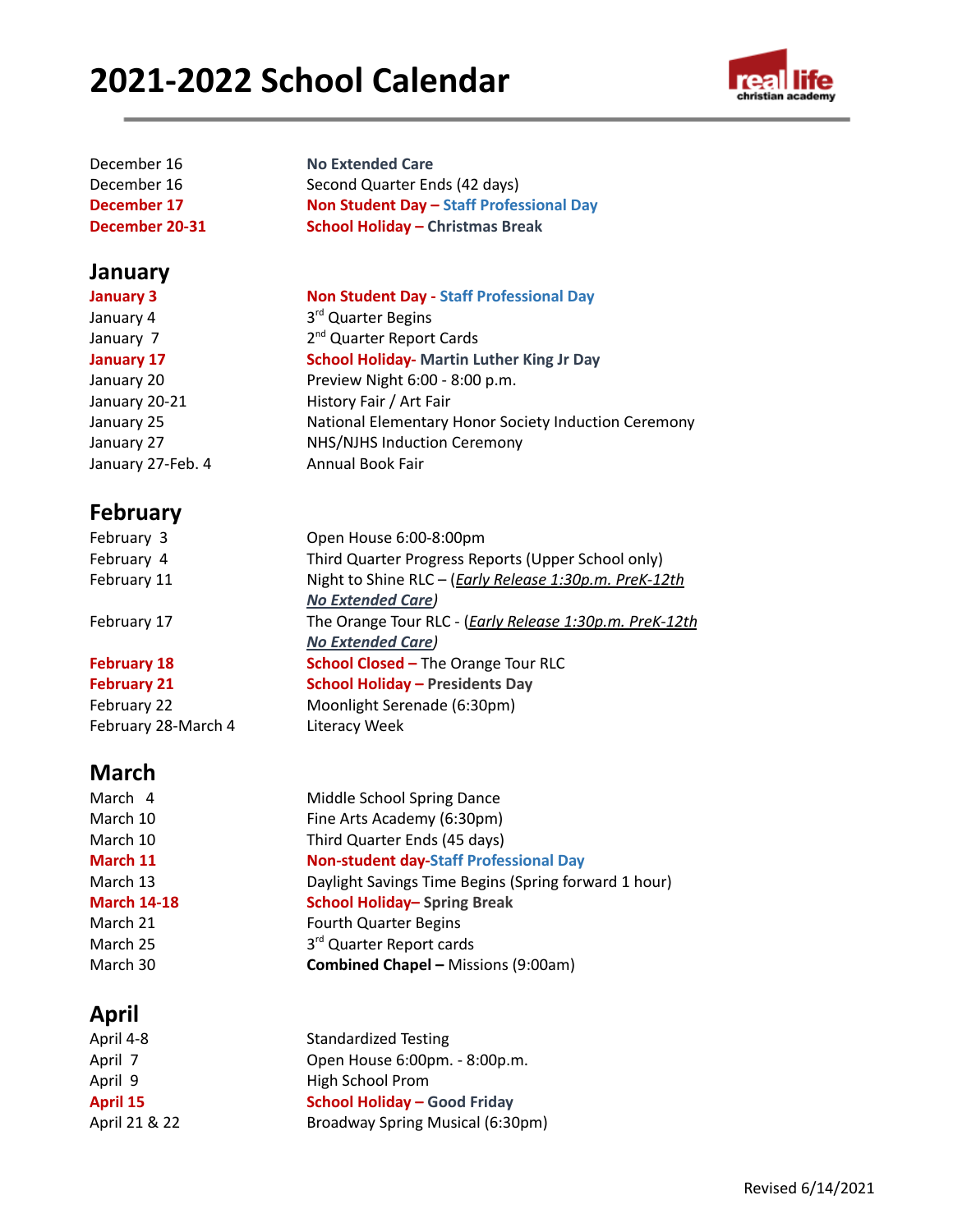# **2021-2022 School Calendar**



| December 16    | <b>No Extended Care</b>                  |
|----------------|------------------------------------------|
| December 16    | Second Quarter Ends (42 days)            |
| December 17    | Non Student Day - Staff Professional Day |
| December 20-31 | <b>School Holiday - Christmas Break</b>  |
|                |                                          |

#### **January**

**January 3 Non Student Day - Staff Professional Day** January 4 3<sup>rd</sup> Quarter Begins January 7 2<sup>nd</sup> Quarter Report Cards **January 17 School Holiday- Martin Luther King Jr Day** January 20 Preview Night 6:00 - 8:00 p.m. January 20-21 History Fair / Art Fair January 25 National Elementary Honor Society Induction Ceremony January 27 NHS/NJHS Induction Ceremony January 27-Feb. 4 Annual Book Fair

## **February**

| February 3         | Open House 6:00-8:00pm                                         |
|--------------------|----------------------------------------------------------------|
| February 4         | Third Quarter Progress Reports (Upper School only)             |
| February 11        | Night to Shine RLC - ( <i>Early Release 1:30p.m. PreK-12th</i> |
|                    | <b>No Extended Care)</b>                                       |
| February 17        | The Orange Tour RLC - (Early Release 1:30p.m. PreK-12th        |
|                    | <b>No Extended Care)</b>                                       |
| <b>February 18</b> | <b>School Closed - The Orange Tour RLC</b>                     |
| <b>February 21</b> | <b>School Holiday - Presidents Day</b>                         |

## February 22 Moonlight Serenade (6:30pm) February 28-March 4 Literacy Week

## **March**

March 4 Middle School Spring Dance March 10 Fine Arts Academy (6:30pm) March 10 Third Quarter Ends (45 days) **March 11 Non-student day-Staff Professional Day** March 13 Daylight Savings Time Begins (Spring forward 1 hour) **March 14-18 School Holiday– Spring Break** March 21 Fourth Quarter Begins March 25 3<sup>rd</sup> Quarter Report cards March 30 **Combined Chapel –** Missions (9:00am)

## **April**

| April 4-8     | <b>Standardized Testing</b>         |
|---------------|-------------------------------------|
| April 7       | Open House 6:00pm. - 8:00p.m.       |
| April 9       | <b>High School Prom</b>             |
| April 15      | <b>School Holiday - Good Friday</b> |
| April 21 & 22 | Broadway Spring Musical (6:30pm)    |
|               |                                     |